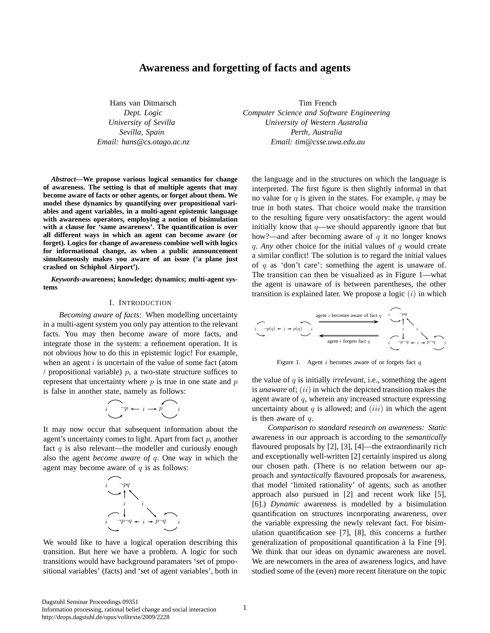# **Awareness and forgetting of facts and agents**

Hans van Ditmarsch *Dept. Logic University of Sevilla Sevilla, Spain Email: hans@cs.otago.ac.nz*

*Abstract***—We propose various logical semantics for change of awareness. The setting is that of multiple agents that may become aware of facts or other agents, or forget about them. We model these dynamics by quantifying over propositional variables and agent variables, in a multi-agent epistemic language with awareness operators, employing a notion of bisimulation with a clause for 'same awareness'. The quantification is over all different ways in which an agent can become aware (or forget). Logics for change of awareness combine well with logics for informational change, as when a public announcement simultaneously makes you aware of an issue ('a plane just crashed on Schiphol Airport').**

*Keywords***-awareness; knowledge; dynamics; multi-agent systems**

## I. INTRODUCTION

*Becoming aware of facts:* When modelling uncertainty in a multi-agent system you only pay attention to the relevant facts. You may then become aware of more facts, and integrate those in the system: a refinement operation. It is not obvious how to do this in epistemic logic! For example, when an agent  $i$  is uncertain of the value of some fact (atom / propositional variable)  $p$ , a two-state structure suffices to represent that uncertainty where  $p$  is true in one state and  $p$ is false in another state, namely as follows:

$$
\overbrace{\hspace{2.3cm}}^{p} \overbrace{\hspace{2.3cm}}^{p} \overbrace{\hspace{2.3cm}}^{p} \overbrace{\hspace{2.3cm}}^{i}
$$

It may now occur that subsequent information about the agent's uncertainty comes to light. Apart from fact  $p$ , another fact  $q$  is also relevant—the modeller and curiously enough also the agent *become aware of* q. One way in which the agent may become aware of  $q$  is as follows:



We would like to have a logical operation describing this transition. But here we have a problem. A logic for such transitions would have background paramaters 'set of propositional variables' (facts) and 'set of agent variables', both in

Tim French *Computer Science and Software Engineering University of Western Australia Perth, Australia Email: tim@csse.uwa.edu.au*

the language and in the structures on which the language is interpreted. The first figure is then slightly informal in that no value for  $q$  is given in the states. For example,  $q$  may be true in both states. That choice would make the transition to the resulting figure very unsatisfactory: the agent would initially know that  $q$ —we should apparently ignore that but how?—and after becoming aware of  $q$  it no longer knows q. *Any* other choice for the initial values of q would create a similar conflict! The solution is to regard the initial values of  $q$  as 'don't care': something the agent is unaware of. The transition can then be visualized as in Figure 1—what the agent is unaware of is between parentheses, the other transition is explained later. We propose a logic  $(i)$  in which

$$
\underbrace{i}_{q} \longrightarrow p(q) \leftarrow i \rightarrow p(q) \qquad i \qquad \longrightarrow p(q) \qquad i \qquad \longrightarrow p(q) \qquad i \qquad \longrightarrow p(q) \qquad i \qquad \longrightarrow p(q) \qquad \longrightarrow q \qquad \longrightarrow q \qquad \longrightarrow q \qquad \longrightarrow q \qquad \longrightarrow q \qquad \longrightarrow q \qquad \longrightarrow q \qquad \longrightarrow q \qquad \longrightarrow q \qquad \longrightarrow q \qquad \longrightarrow q \qquad \longrightarrow q \qquad \longrightarrow q \qquad \longrightarrow q \qquad \longrightarrow q \qquad \longrightarrow q \qquad \longrightarrow q \qquad \longrightarrow q \qquad \longrightarrow q \qquad \longrightarrow q \qquad \longrightarrow q \qquad \longrightarrow q \qquad \longrightarrow q \qquad \longrightarrow q \qquad \longrightarrow q \qquad \longrightarrow q \qquad \longrightarrow q \qquad \longrightarrow q \qquad \longrightarrow q \qquad \longrightarrow q \qquad \longrightarrow q \qquad \longrightarrow q \qquad \longrightarrow q \qquad \longrightarrow q \qquad \longrightarrow q \qquad \longrightarrow q \qquad \longrightarrow q \qquad \longrightarrow q \qquad \longrightarrow q \qquad \longrightarrow q \qquad \longrightarrow q \qquad \longrightarrow q \qquad \longrightarrow q \qquad \longrightarrow q \qquad \longrightarrow q \qquad \longrightarrow q \qquad \longrightarrow q \qquad \longrightarrow q \qquad \longrightarrow q \qquad \longrightarrow q \qquad \longrightarrow q \qquad \longrightarrow q \qquad \longrightarrow q \qquad \longrightarrow q \qquad \longrightarrow q \qquad \longrightarrow q \qquad \longrightarrow q \qquad \longrightarrow q \qquad \longrightarrow q \qquad \longrightarrow q \qquad \longrightarrow q \qquad \longrightarrow q \qquad \longrightarrow q \qquad \longrightarrow q \qquad \longrightarrow q \qquad \longrightarrow q \qquad \longrightarrow q \qquad \longrightarrow q \qquad \longrightarrow q \qquad \longrightarrow q \qquad \longrightarrow q \qquad \longrightarrow q \qquad \longrightarrow q \qquad \longrightarrow q \qquad \longrightarrow q \qquad \longrightarrow q \qquad \longrightarrow q \qquad \longrightarrow q \qquad \longrightarrow q \qquad \longrightarrow q \qquad \longrightarrow q \qquad \longrightarrow q \qquad \longrightarrow q \qquad \longrightarrow q \qquad \longrightarrow q \qquad \longrightarrow q \qquad \longrightarrow q \qquad \longrightarrow q \qquad \longrightarrow q \qquad \longrightarrow q \qquad \longrightarrow q \qquad \longrightarrow q \qquad \longrightarrow q \qquad \longrightarrow q \qquad \longrightarrow q \qquad \longrightarrow q \qquad \longrightarrow q \qquad \longrightarrow q \qquad \longrightarrow q \qquad \longrightarrow q \qquad \longrightarrow q \qquad \longrightarrow q \qquad \longrightarrow q \qquad \longrightarrow q \qquad \longrightarrow q \qquad \longrightarrow q \qquad \longrightarrow q \qquad \longrightarrow q \qquad \longrightarrow q \qquad \longrightarrow q \qquad \longrightarrow q \qquad \longrightarrow q \qquad \longrightarrow q \qquad \longrightarrow q \qquad \longrightarrow q \
$$

Figure 1. Agent  $i$  becomes aware of or forgets fact  $q$ 

the value of q is initially *irrelevant*, i.e., something the agent is *unaware* of; (ii) in which the depicted transition makes the agent aware of q, wherein any increased structure expressing uncertainty about  $q$  is allowed; and  $(iii)$  in which the agent is then aware of  $q$ .

*Comparison to standard research on awareness: Static* awareness in our approach is according to the *semantically* flavoured proposals by [2], [3], [4]—the extraordinarily rich and exceptionally well-written [2] certainly inspired us along our chosen path. (There is no relation between our approach and *syntactically* flavoured proposals for awareness, that model 'limited rationality' of agents, such as another approach also pursued in [2] and recent work like [5], [6].) *Dynamic* awareness is modelled by a bisimulation quantification on structures incorporating awareness, over the variable expressing the newly relevant fact. For bisimulation quantification see [7], [8], this concerns a further generalization of propositional quantification à la Fine [9]. We think that our ideas on dynamic awareness are novel. We are newcomers in the area of awareness logics, and have studied some of the (even) more recent literature on the topic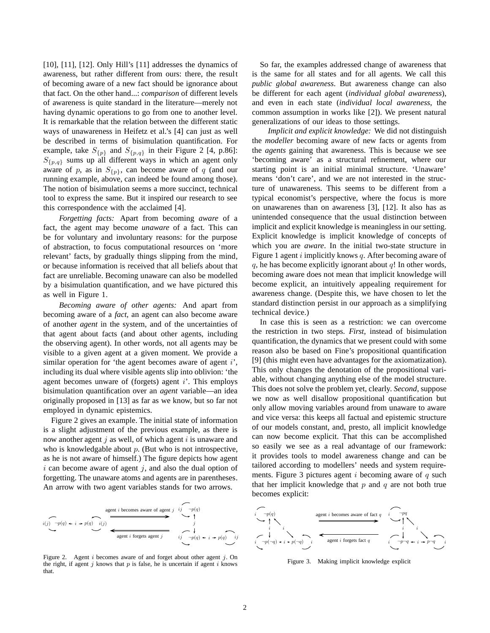[10], [11], [12]. Only Hill's [11] addresses the dynamics of awareness, but rather different from ours: there, the result of becoming aware of a new fact should be ignorance about that fact. On the other hand...: *comparison* of different levels of awareness is quite standard in the literature—merely not having dynamic operations to go from one to another level. It is remarkable that the relation between the different static ways of unawareness in Heifetz et al.'s [4] can just as well be described in terms of bisimulation quantification. For example, take  $S_{\{p\}}$  and  $S_{\{p,q\}}$  in their Figure 2 [4, p.86]:  $S_{\{p,q\}}$  sums up all different ways in which an agent only aware of p, as in  $S_{\{p\}}$ , can become aware of q (and our running example, above, can indeed be found among those). The notion of bisimulation seems a more succinct, technical tool to express the same. But it inspired our research to see this correspondence with the acclaimed [4].

*Forgetting facts:* Apart from becoming *aware* of a fact, the agent may become *unaware* of a fact. This can be for voluntary and involuntary reasons: for the purpose of abstraction, to focus computational resources on 'more relevant' facts, by gradually things slipping from the mind, or because information is received that all beliefs about that fact are unreliable. Becoming unaware can also be modelled by a bisimulation quantification, and we have pictured this as well in Figure 1.

*Becoming aware of other agents:* And apart from becoming aware of a *fact*, an agent can also become aware of another *agent* in the system, and of the uncertainties of that agent about facts (and about other agents, including the observing agent). In other words, not all agents may be visible to a given agent at a given moment. We provide a similar operation for 'the agent becomes aware of agent  $i'$ , including its dual where visible agents slip into oblivion: 'the agent becomes unware of (forgets) agent  $i'$ . This employs bisimulation quantification over an *agent* variable—an idea originally proposed in [13] as far as we know, but so far not employed in dynamic epistemics.

Figure 2 gives an example. The initial state of information is a slight adjustment of the previous example, as there is now another agent  $j$  as well, of which agent  $i$  is unaware and who is knowledgable about  $p$ . (But who is not introspective, as he is not aware of himself.) The figure depicts how agent  $i$  can become aware of agent  $j$ , and also the dual option of forgetting. The unaware atoms and agents are in parentheses. An arrow with two agent variables stands for two arrows.



Figure 2. Agent i becomes aware of and forget about other agent  $j$ . On the right, if agent  $j$  knows that  $p$  is false, he is uncertain if agent  $i$  knows that.

So far, the examples addressed change of awareness that is the same for all states and for all agents. We call this *public global awareness*. But awareness change can also be different for each agent (*individual global awareness*), and even in each state (*individual local awareness*, the common assumption in works like [2]). We present natural generalizations of our ideas to those settings.

*Implicit and explicit knowledge:* We did not distinguish the *modeller* becoming aware of new facts or agents from the *agents* gaining that awareness. This is because we see 'becoming aware' as a structural refinement, where our starting point is an initial minimal structure. 'Unaware' means 'don't care', and we are not interested in the structure of unawareness. This seems to be different from a typical economist's perspective, where the focus is more on unawarenes than on awareness [3], [12]. It also has as unintended consequence that the usual distinction between implicit and explicit knowledge is meaningless in our setting. Explicit knowledge is implicit knowledge of concepts of which you are *aware*. In the initial two-state structure in Figure 1 agent  $i$  implicitly knows  $q$ . After becoming aware of q, he has become explicitly ignorant about  $q!$  In other words, becoming aware does not mean that implicit knowledge will become explicit, an intuitively appealing requirement for awareness change. (Despite this, we have chosen to let the standard distinction persist in our approach as a simplifying technical device.)

In case this is seen as a restriction: we can overcome the restriction in two steps. *First*, instead of bisimulation quantification, the dynamics that we present could with some reason also be based on Fine's propositional quantification [9] (this might even have advantages for the axiomatization). This only changes the denotation of the propositional variable, without changing anything else of the model structure. This does not solve the problem yet, clearly. *Second*, suppose we now as well disallow propositional quantification but only allow moving variables around from unaware to aware and vice versa: this keeps all factual and epistemic structure of our models constant, and, presto, all implicit knowledge can now become explicit. That this can be accomplished so easily we see as a real advantage of our framework: it provides tools to model awareness change and can be tailored according to modellers' needs and system requirements. Figure 3 pictures agent  $i$  becoming aware of  $q$  such that her implicit knowledge that  $p$  and  $q$  are not both true becomes explicit:



Figure 3. Making implicit knowledge explicit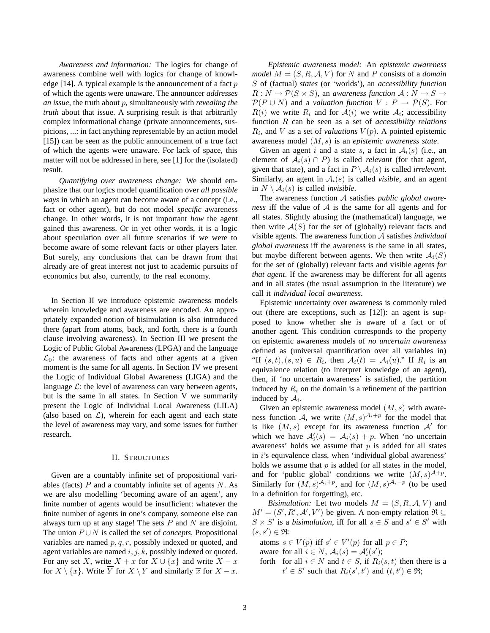*Awareness and information:* The logics for change of awareness combine well with logics for change of knowledge [14]. A typical example is the announcement of a fact  $p$ of which the agents were unaware. The announcer *addresses an issue*, the truth about p, simultaneously with *revealing the truth* about that issue. A surprising result is that arbitrarily complex informational change (private announcements, suspicions, ...: in fact anything representable by an action model [15]) can be seen as the public announcement of a true fact of which the agents were unaware. For lack of space, this matter will not be addressed in here, see [1] for the (isolated) result.

*Quantifying over awareness change:* We should emphasize that our logics model quantification over *all possible ways* in which an agent can become aware of a concept (i.e., fact or other agent), but do not model *specific* awareness change. In other words, it is not important *how* the agent gained this awareness. Or in yet other words, it is a logic about speculation over all future scenarios if we were to become aware of some relevant facts or other players later. But surely, any conclusions that can be drawn from that already are of great interest not just to academic pursuits of economics but also, currently, to the real economy.

In Section II we introduce epistemic awareness models wherein knowledge and awareness are encoded. An appropriately expanded notion of bisimulation is also introduced there (apart from atoms, back, and forth, there is a fourth clause involving awareness). In Section III we present the Logic of Public Global Awareness (LPGA) and the language  $\mathcal{L}_0$ : the awareness of facts and other agents at a given moment is the same for all agents. In Section IV we present the Logic of Individual Global Awareness (LIGA) and the language  $\mathcal{L}$ : the level of awareness can vary between agents, but is the same in all states. In Section V we summarily present the Logic of Individual Local Awareness (LILA) (also based on  $\mathcal{L}$ ), wherein for each agent and each state the level of awareness may vary, and some issues for further research.

## II. STRUCTURES

Given are a countably infinite set of propositional variables (facts)  $P$  and a countably infinite set of agents  $N$ . As we are also modelling 'becoming aware of an agent', any finite number of agents would be insufficient: whatever the finite number of agents in one's company, someone else can always turn up at any stage! The sets  $P$  and  $N$  are disjoint. The union  $P \cup N$  is called the set of *concepts*. Propositional variables are named  $p, q, r$ , possibly indexed or quoted, and agent variables are named  $i, j, k$ , possibly indexed or quoted. For any set X, write  $X + x$  for  $X \cup \{x\}$  and write  $X - x$ for  $X \setminus \{x\}$ . Write  $\overline{Y}$  for  $X \setminus Y$  and similarly  $\overline{x}$  for  $X - x$ .

*Epistemic awareness model:* An *epistemic awareness model*  $M = (S, R, A, V)$  for N and P consists of a *domain* S of (factual) *states* (or 'worlds'), an *accessibility function*  $R: N \to \mathcal{P}(S \times S)$ , an *awareness function*  $\mathcal{A}: N \to S \to$  $\mathcal{P}(P \cup N)$  and a *valuation function*  $V : P \rightarrow \mathcal{P}(S)$ . For  $R(i)$  we write  $R_i$  and for  $A(i)$  we write  $A_i$ ; accessibility function R can be seen as a set of *accessibility relations*  $R_i$ , and V as a set of *valuations*  $V(p)$ . A pointed epistemic awareness model (M, s) is an *epistemic awareness state*.

Given an agent i and a state s, a fact in  $A_i(s)$  (i.e., an element of  $A_i(s) \cap P$ ) is called *relevant* (for that agent, given that state), and a fact in  $P \setminus A_i(s)$  is called *irrelevant*. Similarly, an agent in  $A_i(s)$  is called *visible*, and an agent in  $N \setminus A_i(s)$  is called *invisible*.

The awareness function A satisfies *public global awareness* iff the value of A is the same for all agents and for all states. Slightly abusing the (mathematical) language, we then write  $A(S)$  for the set of (globally) relevant facts and visible agents. The awareness function A satisfies *individual global awareness* iff the awareness is the same in all states, but maybe different between agents. We then write  $A_i(S)$ for the set of (globally) relevant facts and visible agents *for that agent*. If the awareness may be different for all agents and in all states (the usual assumption in the literature) we call it *individual local awareness*.

Epistemic uncertainty over awareness is commonly ruled out (there are exceptions, such as [12]): an agent is supposed to know whether she is aware of a fact or of another agent. This condition corresponds to the property on epistemic awareness models of *no uncertain awareness* defined as (universal quantification over all variables in) "If  $(s,t)$ ,  $(s, u) \in R_i$ , then  $\mathcal{A}_i(t) = \mathcal{A}_i(u)$ ." If  $R_i$  is an equivalence relation (to interpret knowledge of an agent), then, if 'no uncertain awareness' is satisfied, the partition induced by  $R_i$  on the domain is a refinement of the partition induced by  $A_i$ .

Given an epistemic awareness model  $(M, s)$  with awareness function A, we write  $(M, s)^{\mathcal{A}_i+p}$  for the model that is like  $(M, s)$  except for its awareness function  $\mathcal{A}'$  for which we have  $A'_i(s) = A_i(s) + p$ . When 'no uncertain awareness' holds we assume that  $p$  is added for all states in *i*'s equivalence class, when 'individual global awareness' holds we assume that  $p$  is added for all states in the model, and for 'public global' conditions we write  $(M, s)^{\mathcal{A}+p}$ . Similarly for  $(M, s)^{\mathcal{A}_i+p}$ , and for  $(M, s)^{\mathcal{A}_i-p}$  (to be used in a definition for forgetting), etc.

*Bisimulation:* Let two models  $M = (S, R, A, V)$  and  $M' = (S', R', A', V')$  be given. A non-empty relation  $\Re \subseteq$  $S \times S'$  is a *bisimulation*, iff for all  $s \in S$  and  $s' \in S'$  with  $(s, s') \in \mathfrak{R}$ :

atoms  $s \in V(p)$  iff  $s' \in V'(p)$  for all  $p \in P$ ; aware for all  $i \in N$ ,  $\mathcal{A}_i(s) = \mathcal{A}'_i(s')$ ; forth for all  $i \in N$  and  $t \in S$ , if  $R_i(s, t)$  then there is a  $t' \in S'$  such that  $R_i(s', t')$  and  $(t, t') \in \Re;$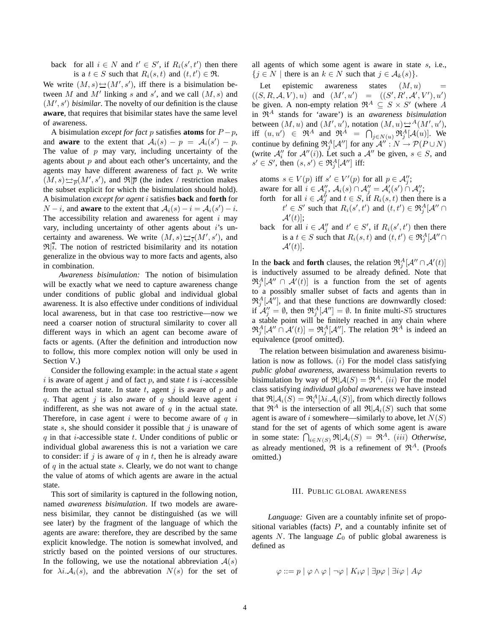back for all  $i \in N$  and  $t' \in S'$ , if  $R_i(s', t')$  then there is a  $t \in S$  such that  $R_i(s,t)$  and  $(t,t') \in \mathfrak{R}$ .

We write  $(M, s) \rightarrow M', s'$ , iff there is a bisimulation between M and M' linking s and s', and we call  $(M, s)$  and  $(M', s')$  *bisimilar*. The novelty of our definition is the clause **aware**, that requires that bisimilar states have the same level of awareness.

A bisimulation *except for fact* p satisfies **atoms** for  $P - p$ , and **aware** to the extent that  $A_i(s) - p = A_i(s') - p$ . The value of  $p$  may vary, including uncertainty of the agents about  $p$  and about each other's uncertainty, and the agents may have different awareness of fact  $p$ . We write  $(M, s) \rightarrow \overline{p}(M', s')$ , and  $\Re|\overline{p}$  (the index / restriction makes the subset explicit for which the bisimulation should hold). A bisimulation *except for agent* i satisfies **back** and **forth** for  $N - i$ , and **aware** to the extent that  $A_i(s) - i = A_i(s') - i$ . The accessibility relation and awareness for agent  $i$  may vary, including uncertainty of other agents about  $i$ 's uncertainty and awareness. We write  $(M, s) \rightarrow \overline{I}(M', s')$ , and  $\mathfrak{R}|\vec{i}$ . The notion of restricted bisimilarity and its notation generalize in the obvious way to more facts and agents, also in combination.

*Awareness bisimulation:* The notion of bisimulation will be exactly what we need to capture awareness change under conditions of public global and individual global awareness. It is also effective under conditions of individual local awareness, but in that case too restrictive—now we need a coarser notion of structural similarity to cover all different ways in which an agent can become aware of facts or agents. (After the definition and introduction now to follow, this more complex notion will only be used in Section V.)

Consider the following example: in the actual state s agent i is aware of agent j and of fact p, and state t is i-accessible from the actual state. In state  $t$ , agent  $j$  is aware of  $p$  and q. That agent j is also aware of q should leave agent  $i$ indifferent, as she was not aware of  $q$  in the actual state. Therefore, in case agent i were to become aware of  $q$  in state s, she should consider it possible that  $j$  is unaware of  $q$  in that *i*-accessible state  $t$ . Under conditions of public or individual global awareness this is not a variation we care to consider: if j is aware of  $q$  in  $t$ , then he is already aware of  $q$  in the actual state  $s$ . Clearly, we do not want to change the value of atoms of which agents are aware in the actual state.

This sort of similarity is captured in the following notion, named *awareness bisimulation*. If two models are awareness bisimilar, they cannot be distinguished (as we will see later) by the fragment of the language of which the agents are aware: therefore, they are described by the same explicit knowledge. The notion is somewhat involved, and strictly based on the pointed versions of our structures. In the following, we use the notational abbreviation  $A(s)$ for  $\lambda i. A_i(s)$ , and the abbrevation  $N(s)$  for the set of all agents of which some agent is aware in state s, i.e.,  ${j \in N \mid \text{there is an } k \in N \text{ such that } j \in \mathcal{A}_k(s)}.$ 

Let epistemic awareness states  $(M, u)$  $((S, R, A, V), u)$  and  $(M', u') = ((S', R', A', V'), u')$ be given. A non-empty relation  $\mathfrak{R}^A \subseteq S \times S'$  (where A in  $\mathfrak{R}^A$  stands for 'aware') is an *awareness bisimulation* between  $(M, u)$  and  $(M', u')$ , notation  $(M, u) \rightarrow A(M', u')$ , iff  $(u, u') \in \mathfrak{R}^A$  and  $\mathfrak{R}^A = \bigcap_{j \in N(u)} \mathfrak{R}_j^A[\mathcal{A}(u)]$ . We continue by defining  $\mathfrak{R}_j^A[\mathcal{A}'']$  for any  $\mathcal{A}''$  :  $N \to \mathcal{P}(P \cup N)$ (write  $\mathcal{A}_i''$  for  $\mathcal{A}''(i)$ ). Let such a  $\mathcal{A}''$  be given,  $s \in S$ , and  $s' \in S'$ , then  $(s, s') \in \Re_j^A[\mathcal{A}'']$  iff:

atoms  $s \in V(p)$  iff  $s' \in V'(p)$  for all  $p \in \mathcal{A}'_j$ ; aware for all  $i \in \mathcal{A}''_j$ ,  $\mathcal{A}_i(s) \cap \mathcal{A}''_j = \mathcal{A}'_i(s') \cap \mathcal{A}''_j$ ; forth for all  $i \in \mathcal{A}^{\prime\prime}_{j}$  and  $t \in S$ , if  $R_{i}(s, t)$  then there is a

- $t' \in S'$  such that  $R_i(s', t')$  and  $(t, t') \in \Re^A_j[\mathcal{A}'' \cap$  $\mathcal{A}'(t)$ ;
- back for all  $i \in \mathcal{A}''_j$  and  $t' \in S'$ , if  $R_i(s', t')$  then there is a  $t \in S$  such that  $R_i(s,t)$  and  $(t,t') \in \Re^A_i[\mathcal{A}'' \cap$  $\mathcal{A}'(t)$ .

In the **back** and **forth** clauses, the relation  $\mathfrak{R}_j^A[\mathcal{A}'' \cap \mathcal{A}'(t)]$ is inductively assumed to be already defined. Note that  $\mathfrak{R}_j^A[\mathcal{A}'' \cap \mathcal{A}'(t)]$  is a function from the set of agents to a possibly smaller subset of facts and agents than in  $\mathfrak{R}_{j}^{A}[\mathcal{A}'']$ , and that these functions are downwardly closed: if  $\mathcal{A}_{j}'' = \emptyset$ , then  $\Re_j^A[\mathcal{A}''] = \emptyset$ . In finite multi-S5 structures a stable point will be finitely reached in any chain where  $\mathfrak{R}^A_j[\mathcal{A}'' \cap \mathcal{A}'(t)] = \mathfrak{R}^A_j[\mathcal{A}'']$ . The relation  $\mathfrak{R}^A$  is indeed an equivalence (proof omitted).

The relation between bisimulation and awareness bisimulation is now as follows.  $(i)$  For the model class satisfying *public global awareness*, awareness bisimulation reverts to bisimulation by way of  $\mathfrak{R}|\mathcal{A}(S) = \mathfrak{R}^A$ . *(ii)* For the model class satisfying *individual global awareness* we have instead that  $\Re[\mathcal{A}_i(S) = \Re_i^A[\lambda i.\mathcal{A}_i(S)]$ , from which directly follows that  $\mathfrak{R}^A$  is the intersection of all  $\mathfrak{R}|\mathcal{A}_i(S)$  such that some agent is aware of i somewhere—similarly to above, let  $N(S)$ stand for the set of agents of which some agent is aware in some state:  $\bigcap_{i \in N(S)} \Re \vert A_i(S) = \Re^A$ . *(iii) Otherwise*, as already mentioned,  $\mathfrak{R}$  is a refinement of  $\mathfrak{R}^A$ . (Proofs omitted.)

#### III. PUBLIC GLOBAL AWARENESS

*Language:* Given are a countably infinite set of propositional variables (facts)  $P$ , and a countably infinite set of agents N. The language  $\mathcal{L}_0$  of public global awareness is defined as

$$
\varphi ::= p \mid \varphi \land \varphi \mid \neg \varphi \mid K_i \varphi \mid \exists p \varphi \mid \exists i \varphi \mid A \varphi
$$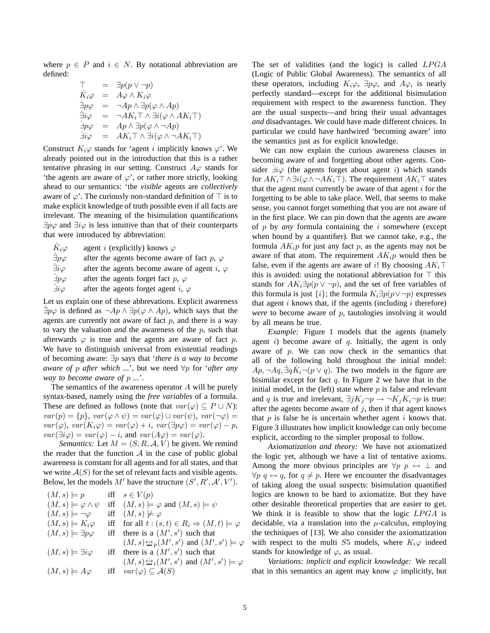where  $p \in P$  and  $i \in N$ . By notational abbreviation are defined:

$$
\begin{array}{rcl}\n\top & = & \exists p(p \lor \neg p) \\
\dot{K}_i \varphi & = & A\varphi \land K_i \varphi \\
\dot{\exists} p\varphi & = & \neg Ap \land \exists p(\varphi \land Ap) \\
\dot{\exists} i\varphi & = & \neg AK_i \top \land \exists i(\varphi \land AK_i \top) \\
\dot{\exists} p\varphi & = & Ap \land \exists p(\varphi \land \neg Ap) \\
\dot{\exists} i\varphi & = & AK_i \top \land \exists i(\varphi \land \neg AK_i \top)\n\end{array}
$$

Construct  $K_i\varphi$  stands for 'agent i implicitly knows  $\varphi'$ . We already pointed out in the introduction that this is a rather tentative phrasing in our setting. Construct  $A\varphi$  stands for 'the agents are aware of  $\varphi$ ', or rather more strictly, looking ahead to our semantics: 'the *visible* agents are *collectively* aware of  $\varphi'$ . The curiously non-standard definition of  $\top$  is to make explicit knowledge of truth possible even if all facts are irrelevant. The meaning of the bisimulation quantifications  $\exists p\varphi$  and  $\exists i\varphi$  is less intuitive than that of their counterparts that were introduced by abbreviation:

| $K_i\varphi$              | agent <i>i</i> (explicitly) knows $\varphi$         |
|---------------------------|-----------------------------------------------------|
| $\dot{\exists} p \varphi$ | after the agents become aware of fact p, $\varphi$  |
| $\exists i \varphi$       | after the agents become aware of agent i, $\varphi$ |
| $\exists p \varphi$       | after the agents forget fact p, $\varphi$           |
| $\exists i \varphi$       | after the agents forget agent i, $\varphi$          |

Let us explain one of these abbrevations. Explicit awareness  $\exists p\varphi$  is defined as  $\neg Ap \wedge \exists p(\varphi \wedge Ap)$ , which says that the agents are currently not aware of fact  $p$ , and there is a way to vary the valuation *and* the awareness of the p, such that afterwards  $\varphi$  is true and the agents are aware of fact p. We have to distinguish universal from existential readings of becoming aware: ∃p says that '*there is a way to become aware of* p *after which ...*', but we need ∀p for '*after any way to become aware of* p *...*'.

The semantics of the awareness operator A will be purely syntax-based, namely using the *free variables* of a formula. These are defined as follows (note that  $var(\varphi) \subseteq P \cup N$ ):  $var(p) = \{p\}, var(\varphi \wedge \psi) = var(\varphi) \cup var(\psi), var(\neg \varphi) =$  $var(\varphi)$ ,  $var(K_i\varphi) = var(\varphi) + i$ ,  $var(\exists p\varphi) = var(\varphi) - p$ ,  $var(\exists i\varphi) = var(\varphi) - i$ , and  $var(A\varphi) = var(\varphi)$ .

*Semantics:* Let  $M = (S, R, A, V)$  be given. We remind the reader that the function  $A$  in the case of public global awareness is constant for all agents and for all states, and that we write  $A(S)$  for the set of relevant facts and visible agents. Below, let the models  $M'$  have the structure  $(S', R', A', V')$ .

| $(M,s)\models p$                   | iff $s \in V(p)$                                              |
|------------------------------------|---------------------------------------------------------------|
| $(M,s) \models \varphi \land \psi$ | iff $(M, s) \models \varphi$ and $(M, s) \models \psi$        |
| $(M,s) \models \neg \varphi$       | iff $(M, s) \not\models \varphi$                              |
| $(M,s) \models K_i \varphi$        | iff for all $t:(s,t)\in R_i\Rightarrow (M,t)\models \varphi$  |
| $(M,s)\models \exists p\varphi$    | iff there is a $(M', s')$ such that                           |
|                                    | $(M, s) \rightarrow p(M', s')$ and $(M', s') \models \varphi$ |
| $(M,s)\models \exists i\varphi$    | iff there is a $(M', s')$ such that                           |
|                                    | $(M, s) \rightarrow (M', s')$ and $(M', s') \models \varphi$  |
| $(M,s) \models A\varphi$           | iff $var(\varphi) \subseteq \mathcal{A}(S)$                   |
|                                    |                                                               |

The set of validities (and the logic) is called LPGA (Logic of Public Global Awareness). The semantics of all these operators, including  $K_i\varphi$ ,  $\exists p\varphi$ , and  $A\varphi$ , is nearly perfectly standard—except for the additional bisimulation requirement with respect to the awareness function. They are the usual suspects—and bring their usual advantages *and* disadvantages. We could have made different choices. In particular we could have hardwired 'becoming aware' into the semantics just as for explicit knowledge.

We can now explain the curious awareness clauses in becoming aware of and forgetting about other agents. Consider  $\dot{\exists} i\varphi$  (the agents forget about agent i) which stands for  $AK_i\top \wedge \exists i(\varphi \wedge \neg AK_i\top)$ . The requirement  $AK_i\top$  states that the agent must currently be aware of that agent  $i$  for the forgetting to be able to take place. Well, that seems to make sense, you cannot forget something that you are not aware of in the first place. We can pin down that the agents are aware of p by *any* formula containing the i somewhere (except when bound by a quantifier). But we cannot take, e.g., the formula  $AK_i p$  for just any fact p, as the agents may not be aware of that atom. The requirement  $AK_ip$  would then be false, even if the agents are aware of i! By choosing  $AK_i\mathsf{T}$ this is avoided: using the notational abbreviation for  $\top$  this stands for  $AK_i\exists p(p \vee \neg p)$ , and the set of free variables of this formula is just  $\{i\}$ ; the formula  $K_i\exists p(p\vee\neg p)$  expresses that agent  $i$  knows that, if the agents (including  $i$  therefore) *were* to become aware of p, tautologies involving it would by all means be true.

*Example:* Figure 1 models that the agents (namely agent i) become aware of  $q$ . Initially, the agent is only aware of  $p$ . We can now check in the semantics that all of the following hold throughout the initial model:  $Ap, \neg Aq, \exists q \dot{K}_i \neg (p \vee q)$ . The two models in the figure are bisimilar except for fact  $q$ . In Figure 2 we have that in the initial model, in the (left) state where  $p$  is false and relevant and q is true and irrelevant,  $\exists jK_j \neg p \rightarrow \neg K_jK_i \neg p$  is true: after the agents become aware of  $j$ , then if that agent knows that  $p$  is false he is uncertain whether agent  $i$  knows that. Figure 3 illustrates how implicit knowledge can only become explicit, according to the simpler proposal to follow.

*Axiomatization and theory:* We have not axiomatized the logic yet, although we have a list of tentative axioms. Among the more obvious principles are  $\forall p \ p \leftrightarrow \bot$  and  $\forall p \ q \leftrightarrow q$ , for  $q \neq p$ . Here we encounter the disadvantages of taking along the usual suspects: bisimulation quantified logics are known to be hard to axiomatize. But they have other desirable theoretical properties that are easier to get. We think it is feasible to show that the logic  $LPGA$  is decidable, via a translation into the  $\mu$ -calculus, employing the techniques of [13]. We also consider the axiomatization with respect to the multi S5 models, where  $K_i\varphi$  indeed stands for knowledge of  $\varphi$ , as usual.

*Variations: implicit and explicit knowledge:* We recall that in this semantics an agent may know  $\varphi$  implicitly, but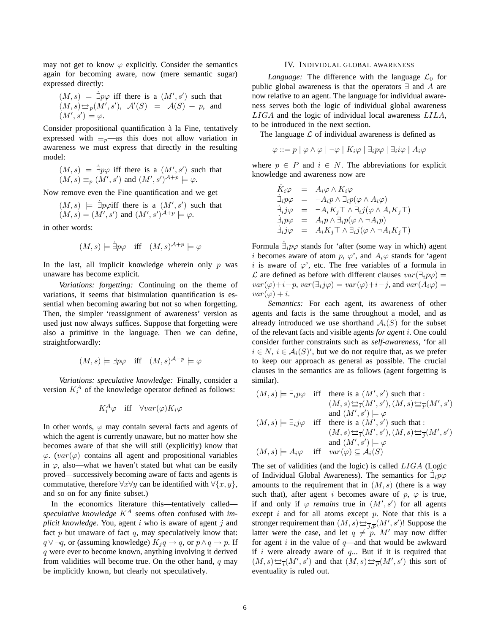may not get to know  $\varphi$  explicitly. Consider the semantics again for becoming aware, now (mere semantic sugar) expressed directly:

$$
(M, s)
$$
  $\models \exists p\varphi$  iff there is a  $(M', s')$  such that  $(M, s) \simeq_p (M', s')$ ,  $\mathcal{A}'(S) = \mathcal{A}(S) + p$ , and  $(M', s') \models \varphi$ .

Consider propositional quantification à la Fine, tentatively expressed with  $\equiv_p$ —as this does not allow variation in awareness we must express that directly in the resulting model:

$$
(M, s) \models \exists p\varphi
$$
 iff there is a  $(M', s')$  such that  
 $(M, s) \equiv_p (M', s')$  and  $(M', s')^{A+p} \models \varphi$ .

Now remove even the Fine quantification and we get

$$
(M, s)
$$
  $\models \exists p\varphi$  iff there is a  $(M', s')$  such that  
 $(M, s) = (M', s')$  and  $(M', s')^{A+p} \models \varphi$ .

in other words:

$$
(M, s) \models \exists p \varphi \text{ iff } (M, s)^{A+p} \models \varphi
$$

In the last, all implicit knowledge wherein only  $p$  was unaware has become explicit.

*Variations: forgetting:* Continuing on the theme of variations, it seems that bisimulation quantification is essential when becoming awaring but not so when forgetting. Then, the simpler 'reassignment of awareness' version as used just now always suffices. Suppose that forgetting were also a primitive in the language. Then we can define, straightforwardly:

$$
(M, s) \models \exists p \varphi \text{ iff } (M, s)^{\mathcal{A}-p} \models \varphi
$$

*Variations: speculative knowledge:* Finally, consider a version  $K_i^A$  of the knowledge operator defined as follows:

$$
K_i^A \varphi \quad \text{iff} \quad \forall var(\varphi) K_i \varphi
$$

In other words,  $\varphi$  may contain several facts and agents of which the agent is currently unaware, but no matter how she becomes aware of that she will still (explicitly) know that  $\varphi$ . (var( $\varphi$ ) contains all agent and propositional variables in  $\varphi$ , also—what we haven't stated but what can be easily proved—successively becoming aware of facts and agents is commutative, therefore  $\forall x \forall y$  can be identified with  $\forall \{x, y\},$ and so on for any finite subset.)

In the economics literature this—tentatively called speculative knowledge  $K^A$  seems often confused with *implicit knowledge*. You, agent i who is aware of agent j and fact  $p$  but unaware of fact  $q$ , may speculatively know that:  $q \lor \neg q$ , or (assuming knowledge)  $K_i q \to q$ , or  $p \land q \to p$ . If q were ever to become known, anything involving it derived from validities will become true. On the other hand,  $q$  may be implicitly known, but clearly not speculatively.

#### IV. INDIVIDUAL GLOBAL AWARENESS

*Language:* The difference with the language  $\mathcal{L}_0$  for public global awareness is that the operators ∃ and A are now relative to an agent. The language for individual awareness serves both the logic of individual global awareness LIGA and the logic of individual local awareness LILA, to be introduced in the next section.

The language  $\mathcal L$  of individual awareness is defined as

$$
\varphi ::= p \mid \varphi \land \varphi \mid \neg \varphi \mid K_i \varphi \mid \exists_i p \varphi \mid \exists_i i \varphi \mid A_i \varphi
$$

where  $p \in P$  and  $i \in N$ . The abbreviations for explicit knowledge and awareness now are

$$
\dot{K}_i \varphi = A_i \varphi \wedge K_i \varphi \n\dot{\exists}_i p \varphi = \neg A_i p \wedge \exists_i p (\varphi \wedge A_i \varphi) \n\dot{\exists}_i j \varphi = \neg A_i K_j \top \wedge \exists_i j (\varphi \wedge A_i K_j \top) \n\dot{\exists}_i p \varphi = A_i p \wedge \exists_i p (\varphi \wedge \neg A_i p) \n\dot{\exists}_i j \varphi = A_i K_j \top \wedge \exists_i j (\varphi \wedge \neg A_i K_j \top)
$$

Formula  $\dot{\exists}_i p \varphi$  stands for 'after (some way in which) agent i becomes aware of atom p,  $\varphi'$ , and  $A_i\varphi$  stands for 'agent i is aware of  $\varphi'$ , etc. The free variables of a formula in L are defined as before with different clauses  $var(\exists_i p\varphi) =$  $var(\varphi)+i-p$ ,  $var(\exists_i j\varphi) = var(\varphi)+i-j$ , and  $var(A_i\varphi) =$  $var(\varphi) + i.$ 

*Semantics:* For each agent, its awareness of other agents and facts is the same throughout a model, and as already introduced we use shorthand  $A_i(S)$  for the subset of the relevant facts and visible agents *for agent* i. One could consider further constraints such as *self-awareness*, 'for all  $i \in N$ ,  $i \in \mathcal{A}_i(S)$ , but we do not require that, as we prefer to keep our approach as general as possible. The crucial clauses in the semantics are as follows (agent forgetting is similar).

$$
(M, s) \models \exists_i p\varphi \text{ iff } \text{ there is a } (M', s') \text{ such that :}
$$

$$
(M, s) \Leftrightarrow \exists_i (M', s'), (M, s) \Leftrightarrow \exists_p (M', s')
$$

$$
\text{ and } (M', s') \models \varphi
$$

$$
(M, s) \models \exists_i j\varphi \text{ iff } \text{ there is a } (M', s') \text{ such that :}
$$

$$
(M, s) \Leftrightarrow \exists_i (M', s'), (M, s) \Leftrightarrow \exists_j (M', s')
$$

$$
\text{ and } (M', s') \models \varphi
$$

$$
(M, s) \models A_i \varphi \text{ iff } var(\varphi) \subseteq A_i(S)
$$

The set of validities (and the logic) is called LIGA (Logic of Individual Global Awareness). The semantics for  $\exists_i p\varphi$ amounts to the requirement that in  $(M, s)$  (there is a way such that), after agent i becomes aware of p,  $\varphi$  is true, if and only if  $\varphi$  *remains* true in  $(M', s')$  for all agents except  $i$  and for all atoms except  $p$ . Note that this is a stronger requirement than  $(M, s) \rightarrow \frac{1}{j, p}(M', s')!$  Suppose the latter were the case, and let  $q \neq p$ . M' may now differ for agent  $i$  in the value of  $q$ —and that would be awkward if  $i$  were already aware of  $q$ ... But if it is required that  $(M, s) \rightarrowtail_{\overline{i}}(M', s')$  and that  $(M, s) \rightarrowtail_{\overline{p}}(M', s')$  this sort of eventuality is ruled out.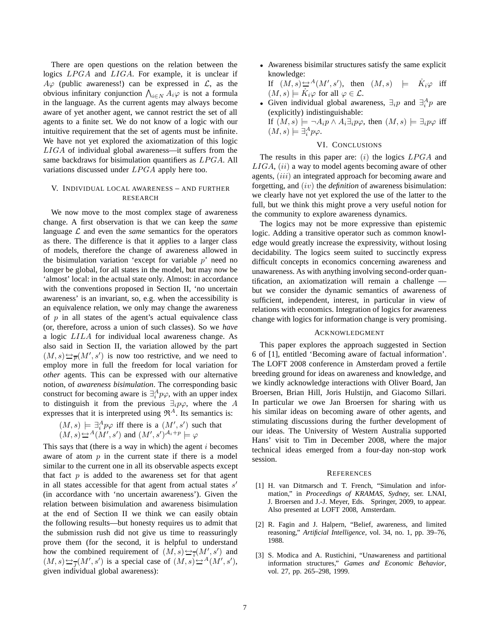There are open questions on the relation between the logics LPGA and LIGA. For example, it is unclear if  $A\varphi$  (public awareness!) can be expressed in  $\mathcal{L}$ , as the obvious infinitary conjunction  $\bigwedge_{i\in N}A_i\varphi$  is not a formula in the language. As the current agents may always become aware of yet another agent, we cannot restrict the set of all agents to a finite set. We do not know of a logic with our intuitive requirement that the set of agents must be infinite. We have not yet explored the axiomatization of this logic LIGA of individual global awareness—it suffers from the same backdraws for bisimulation quantifiers as LPGA. All variations discussed under LPGA apply here too.

# V. INDIVIDUAL LOCAL AWARENESS – AND FURTHER RESEARCH

We now move to the most complex stage of awareness change. A first observation is that we can keep the *same* language  $\mathcal L$  and even the *same* semantics for the operators as there. The difference is that it applies to a larger class of models, therefore the change of awareness allowed in the bisimulation variation 'except for variable  $p$ ' need no longer be global, for all states in the model, but may now be 'almost' local: in the actual state only. Almost: in accordance with the conventions proposed in Section II, 'no uncertain awareness' is an invariant, so, e.g. when the accessibility is an equivalence relation, we only may change the awareness of  $p$  in all states of the agent's actual equivalence class (or, therefore, across a union of such classes). So we *have* a logic LILA for individual local awareness change. As also said in Section II, the variation allowed by the part  $(M, s) \rightarrow \overline{p}(M', s')$  is now too restrictive, and we need to employ more in full the freedom for local variation for *other* agents. This can be expressed with our alternative notion, of *awareness bisimulation*. The corresponding basic construct for becoming aware is  $\exists_i^A p\varphi$ , with an upper index to distinguish it from the previous  $\exists_i p\varphi$ , where the A expresses that it is interpreted using  $\mathfrak{R}^A$ . Its semantics is:

$$
(M, s) \models \exists_i^A p \varphi
$$
 iff there is a  $(M', s')$  such that  $(M, s) \simeq^A (M', s')$  and  $(M', s')^{A_i+p} \models \varphi$ 

This says that (there is a way in which) the agent  $i$  becomes aware of atom  $p$  in the current state if there is a model similar to the current one in all its observable aspects except that fact  $p$  is added to the awareness set for that agent in all states accessible for that agent from actual states  $s'$ (in accordance with 'no uncertain awareness'). Given the relation between bisimulation and awareness bisimulation at the end of Section II we think we can easily obtain the following results—but honesty requires us to admit that the submission rush did not give us time to reassuringly prove them (for the second, it is helpful to understand how the combined requirement of  $(M, s) \rightarrow \frac{1}{i}(M', s')$  and  $(M, s) \rightarrow \frac{1}{j}(M', s')$  is a special case of  $(M, s) \rightarrow A(M', s')$ , given individual global awareness):

• Awareness bisimilar structures satisfy the same explicit knowledge: If  $(M, s) \rightarrow M(M', s')$ , then  $(M, s)$   $\models$   $\dot{K}_i \varphi$  iff

 $(M, s) \models \dot{K}_i \varphi$  for all  $\varphi \in \mathcal{L}$ .

• Given individual global awareness,  $\exists_i p$  and  $\exists_i^A p$  are (explicitly) indistinguishable: If  $(M, s) \models \neg A_i p \land A_i \exists_i p \varphi$ , then  $(M, s) \models \exists_i p \varphi$  iff  $(M, s) \models \exists_i^A p \varphi.$ 

# VI. CONCLUSIONS

The results in this paper are:  $(i)$  the logics  $LPGA$  and  $LIGA$ ,  $(ii)$  a way to model agents becoming aware of other agents, *(iii)* an integrated approach for becoming aware and forgetting, and (iv) the *definition* of awareness bisimulation: we clearly have not yet explored the use of the latter to the full, but we think this might prove a very useful notion for the community to explore awareness dynamics.

The logics may not be more expressive than epistemic logic. Adding a transitive operator such as common knowledge would greatly increase the expressivity, without losing decidability. The logics seem suited to succinctly express difficult concepts in economics concerning awareness and unawareness. As with anything involving second-order quantification, an axiomatization will remain a challenge but we consider the dynamic semantics of awareness of sufficient, independent, interest, in particular in view of relations with economics. Integration of logics for awareness change with logics for information change is very promising.

### ACKNOWLEDGMENT

This paper explores the approach suggested in Section 6 of [1], entitled 'Becoming aware of factual information'. The LOFT 2008 conference in Amsterdam proved a fertile breeding ground for ideas on awareness and knowledge, and we kindly acknowledge interactions with Oliver Board, Jan Broersen, Brian Hill, Joris Hulstijn, and Giacomo Sillari. In particular we owe Jan Broersen for sharing with us his similar ideas on becoming aware of other agents, and stimulating discussions during the further development of our ideas. The University of Western Australia supported Hans' visit to Tim in December 2008, where the major technical ideas emerged from a four-day non-stop work session.

#### **REFERENCES**

- [1] H. van Ditmarsch and T. French, "Simulation and information," in *Proceedings of KRAMAS, Sydney*, ser. LNAI, J. Broersen and J.-J. Meyer, Eds. Springer, 2009, to appear. Also presented at LOFT 2008, Amsterdam.
- [2] R. Fagin and J. Halpern, "Belief, awareness, and limited reasoning," *Artificial Intelligence*, vol. 34, no. 1, pp. 39–76, 1988.
- [3] S. Modica and A. Rustichini, "Unawareness and partitional information structures," *Games and Economic Behavior*, vol. 27, pp. 265–298, 1999.